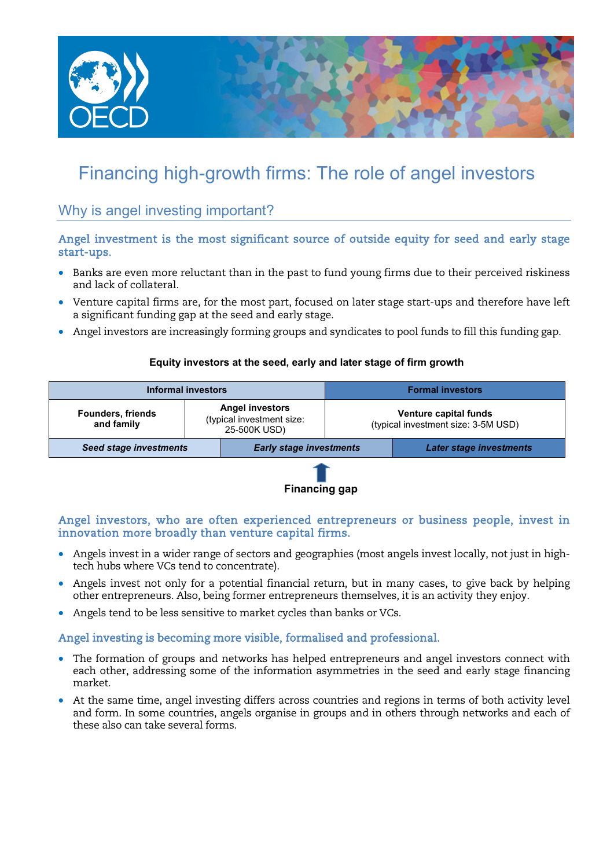

# Financing high-growth firms: The role of angel investors

## Why is angel investing important?

#### Angel investment is the most significant source of outside equity for seed and early stage start-ups.

- Banks are even more reluctant than in the past to fund young firms due to their perceived riskiness and lack of collateral.
- Venture capital firms are, for the most part, focused on later stage start-ups and therefore have left a significant funding gap at the seed and early stage.
- Angel investors are increasingly forming groups and syndicates to pool funds to fill this funding gap.

#### **Equity investors at the seed, early and later stage of firm growth**

| Informal investors                     |                                                                     |                                | <b>Formal investors</b>                                      |                                |
|----------------------------------------|---------------------------------------------------------------------|--------------------------------|--------------------------------------------------------------|--------------------------------|
| <b>Founders, friends</b><br>and family | <b>Angel investors</b><br>(typical investment size:<br>25-500K USD) |                                | Venture capital funds<br>(typical investment size: 3-5M USD) |                                |
| <b>Seed stage investments</b>          |                                                                     | <b>Early stage investments</b> |                                                              | <b>Later stage investments</b> |
|                                        |                                                                     |                                |                                                              |                                |

#### **Financing gap**

Angel investors, who are often experienced entrepreneurs or business people, invest in innovation more broadly than venture capital firms.

- Angels invest in a wider range of sectors and geographies (most angels invest locally, not just in hightech hubs where VCs tend to concentrate).
- Angels invest not only for a potential financial return, but in many cases, to give back by helping other entrepreneurs. Also, being former entrepreneurs themselves, it is an activity they enjoy.
- Angels tend to be less sensitive to market cycles than banks or VCs.

Angel investing is becoming more visible, formalised and professional.

- The formation of groups and networks has helped entrepreneurs and angel investors connect with each other, addressing some of the information asymmetries in the seed and early stage financing market.
- At the same time, angel investing differs across countries and regions in terms of both activity level and form. In some countries, angels organise in groups and in others through networks and each of these also can take several forms.